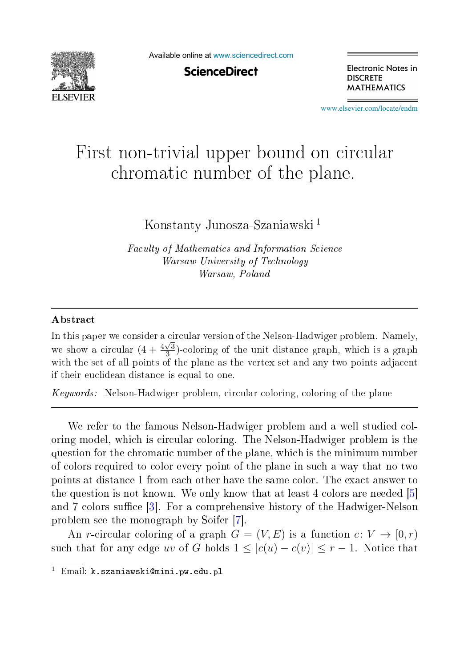

Available online at [www.sciencedirect.com](http://www.sciencedirect.com)

**ScienceDirect** 

Electronic Notes in **DISCRETE MATHEMATICS** 

[www.elsevier.com/locate/endm](http://www.elsevier.com/locate/endm)

## First non-trivial upper bound on circular hromati number of the plane.

Konstanty Junosza-Szaniawski 1

Fa
ulty of Mathemati
s and Information S
ien
e warsaw University of Texas and Texas and Texas and Texas and Texas and Texas and Texas and Texas and Texas and Warsaw, Poland

## **Abstract**

In this paper we consider a circular version of the Nelson-Hadwiger problem. Namely, we show a circular  $(4 + \frac{4\sqrt{3}}{3})$ -coloring of the unit distance graph, which is a graph with the set of all points of the plane as the vertex set and any two points adjacent if their eu
lidean distan
e is equal to one.

Keywords: Nelson-Hadwiger problem, ir
ular oloring, oloring of the plane

We refer to the famous Nelson-Hadwiger problem and a well studied coloring model, which is circular coloring. The Nelson-Hadwiger problem is the question for the hromati number of the plane, whi
h is the minimum number of olors required to olor every point of the plane in su
h a way that no two points at distan
e 1 from ea
hother have the same olor. The exa
t answer to the question is not known. We only know that at least 4 colors are needed  $[5]$ and 7 colors suffice  $\lceil 3 \rceil$ . For a comprehensive history of the Hadwiger-Nelson problem see the monograph by Soifer [7].

An *r*-circular coloring of a graph  $G = (V, E)$  is a function  $c: V \rightarrow [0, r)$ such that for any edge uv of G holds  $1 \leq |c(u) - c(v)| \leq r - 1$ . Notice that

 $^1$  Email: k.szaniawski@mini.pw.edu.pl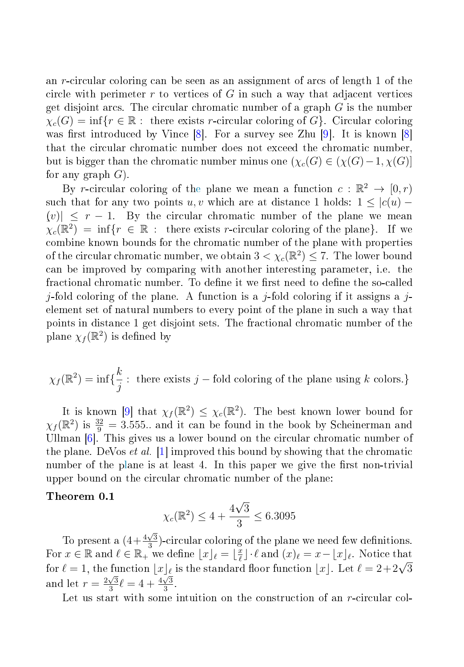an r-circular coloring can be seen as an assignment of arcs of length 1 of the circle with perimeter  $r$  to vertices of  $G$  in such a way that adjacent vertices get disjoint arcs. The circular chromatic number of a graph  $G$  is the number  $\chi_c(G) = \inf \{ r \in \mathbb{R} : \text{ there exists } r\text{-circular coloring of } G \}.$  $\chi_c(G) = \inf \{ r \in \mathbb{R} : \text{ there exists } r\text{-circular coloring of } G \}.$  $\chi_c(G) = \inf \{ r \in \mathbb{R} : \text{ there exists } r\text{-circular coloring of } G \}.$  Circular coloring was first introduced by Vince  $[8]$ . For a survey see Zhu  $[9]$ . It is known  $[8]$ that the circular chromatic number does not exceed the chromatic number, but is bigger than the chromatic number minus one  $(\chi_c(G) \in (\chi(G)-1, \chi(G))]$ for any graph  $G$ ).

By r-circular coloring of the plane we mean a function  $c : \mathbb{R}^2 \to [0, r)$ such that for any two points u, v which are at distance 1 holds:  $1 \leq |c(u) |v| \leq r - 1$ . By the circular chromatic number of the plane we mean  $\chi_c(\mathbb{R}^2) = \inf \{r \in \mathbb{R} : \text{ there exists } r\text{-circular coloring of the plane}\}.$  If we combine known bounds for the chromatic number of the plane with properties of the circular chromatic number, we obtain  $3 < \chi_c(\mathbb{R}^2) \leq 7$ . The lower bound an be improved by omparing with another interesting parameter, i.e. the fractional chromatic number. To define it we first need to define the so-called *j*-fold coloring of the plane. A function is a *j*-fold coloring if it assigns a *j*-element set of natural numbers to every point of the plane in such a way that points in distan
e 1 get disjoint sets. The fra
tional hromati number of the plane  $\chi_f(\mathbb{R}^2)$  is defined by

$$
\chi_f(\mathbb{R}^2) = \inf \{ \frac{k}{j} : \text{ there exists } j - \text{fold coloring of the plane using } k \text{ colors.} \}
$$

It is known [9] that  $\chi_f(\mathbb{R}^2) \leq \chi_c(\mathbb{R}^2)$ . The best known lower bound for  $\chi_f(\mathbb{R}^2)$  is  $\frac{32}{9} = 3.555...$  and it can be found in the book by Scheinerman and Ullman  $[6]$ . This gives us a lower bound on the circular chromatic number of the plane. DeVos *et al.* [1] improved this bound by showing that the chromatic number of the plane is at least 4. In this paper we give the first non-trivial upper bound on the circular chromatic number of the plane:

## Theorem 0.1

$$
\chi_c(\mathbb{R}^2) \le 4 + \frac{4\sqrt{3}}{3} \le 6.3095
$$

To present a  $\left(4+\frac{4\sqrt{3}}{3}\right)$ -circular coloring of the plane we need few definitions. For  $x \in \mathbb{R}$  and  $\ell \in \mathbb{R}_+$  we define  $\lfloor x \rfloor_{\ell} = \lfloor \frac{x}{\ell} \rfloor \cdot \ell$  and  $(x)_{\ell} = x - \lfloor x \rfloor_{\ell}$ . Notice that for  $\ell = 1$ , the function  $\lfloor x \rfloor_{\ell}$  is the standard floor function  $\lfloor x \rfloor$ . Let  $\ell = 2+2\sqrt{3}$ and let  $r = \frac{2\sqrt{3}}{3} \ell = 4 + \frac{4\sqrt{3}}{3}$ 3 .

Let us start with some intuition on the construction of an  $r$ -circular col-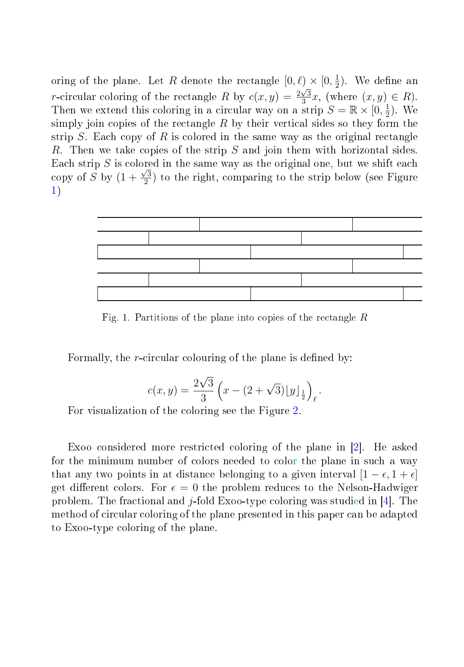oring of the plane. Let R denote the rectangle  $[0, \ell) \times [0, \frac{1}{2})$ . We define an r-circular coloring of the rectangle R by  $c(x, y) = \frac{2\sqrt{3}}{3}x$ , (where  $(x, y) \in R$ ). Then we extend this coloring in a circular way on a strip  $S = \mathbb{R} \times [0, \frac{1}{2})$ . We simply join copies of the rectangle  $R$  by their vertical sides so they form the strip  $S$ . Each copy of R is colored in the same way as the original rectangle R. Then we take opies of the strip S and join them with horizontal sides. Each strip  $S$  is colored in the same way as the original one, but we shift each copy of S by  $(1+\frac{\sqrt{3}}{2})$  to the right, comparing to the strip below (see Figure [1\)](#page-2-0)



<span id="page-2-0"></span>Fig. 1. Partitions of the plane into copies of the rectangle  $R$ 

Formally, the *r*-circular colouring of the plane is defined by:

$$
c(x,y) = \frac{2\sqrt{3}}{3} \left( x - (2 + \sqrt{3}) \lfloor y \rfloor_{\frac{1}{2}} \right)_{\ell}.
$$

For visualization of the oloring see the Figure [2.](#page-3-7)

Exoo considered more restricted coloring of the plane in [2]. He asked for the minimum number of colors needed to color the plane in such a way that any two points in at distance belonging to a given interval  $[1 - \epsilon, 1 + \epsilon]$ get different colors. For  $\epsilon = 0$  the problem reduces to the Nelson-Hadwiger problem. The fractional and *j*-fold Exoo-type coloring was studied in [4]. The method of circular coloring of the plane presented in this paper can be adapted to Exoo-type oloring of the plane.